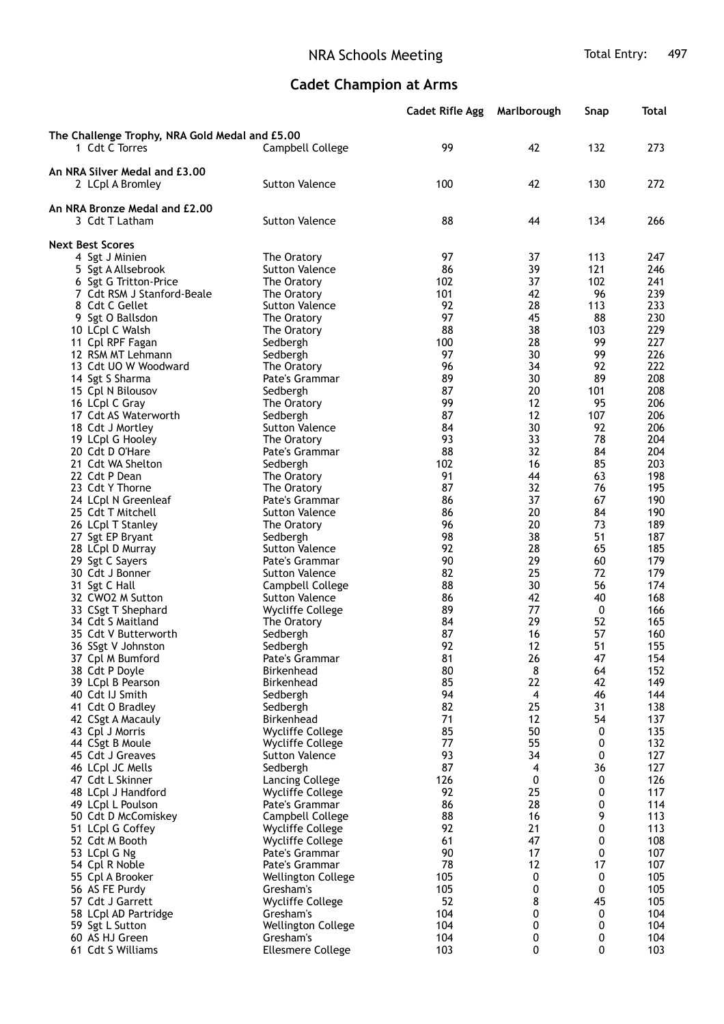## **Cadet Champion at Arms**

|                                                                  |                                 | <b>Cadet Rifle Agg</b> | Marlborough              | <b>Snap</b> | Total      |
|------------------------------------------------------------------|---------------------------------|------------------------|--------------------------|-------------|------------|
| The Challenge Trophy, NRA Gold Medal and £5.00<br>1 Cdt C Torres | Campbell College                | 99                     | 42                       | 132         | 273        |
|                                                                  |                                 |                        |                          |             |            |
| An NRA Silver Medal and £3.00<br>2 LCpl A Bromley                | <b>Sutton Valence</b>           | 100                    | 42                       | 130         | 272        |
| An NRA Bronze Medal and £2.00                                    |                                 |                        |                          |             |            |
| 3 Cdt T Latham                                                   | <b>Sutton Valence</b>           | 88                     | 44                       | 134         | 266        |
| <b>Next Best Scores</b>                                          |                                 |                        |                          |             |            |
| 4 Sgt J Minien                                                   | The Oratory                     | 97                     | 37                       | 113         | 247        |
| 5 Sgt A Allsebrook                                               | <b>Sutton Valence</b>           | 86                     | 39                       | 121         | 246        |
| 6 Sgt G Tritton-Price                                            | The Oratory                     | 102                    | 37                       | 102         | 241        |
| 7 Cdt RSM J Stanford-Beale                                       | The Oratory                     | 101                    | 42                       | 96          | 239        |
| 8 Cdt C Gellet                                                   | <b>Sutton Valence</b>           | 92                     | 28                       | 113         | 233        |
| 9 Sgt O Ballsdon                                                 | The Oratory                     | 97                     | 45                       | 88          | 230        |
| 10 LCpl C Walsh                                                  | The Oratory                     | 88<br>100              | 38<br>28                 | 103<br>99   | 229<br>227 |
| 11 Cpl RPF Fagan<br>12 RSM MT Lehmann                            | Sedbergh<br>Sedbergh            | 97                     | 30                       | 99          | 226        |
| 13 Cdt UO W Woodward                                             | The Oratory                     | 96                     | 34                       | 92          | 222        |
| 14 Sgt S Sharma                                                  | Pate's Grammar                  | 89                     | 30                       | 89          | 208        |
| 15 Cpl N Bilousov                                                | Sedbergh                        | 87                     | 20                       | 101         | 208        |
| 16 LCpl C Gray                                                   | The Oratory                     | 99                     | 12                       | 95          | 206        |
| 17 Cdt AS Waterworth                                             | Sedbergh                        | 87                     | 12                       | 107         | 206        |
| 18 Cdt J Mortley                                                 | <b>Sutton Valence</b>           | 84                     | 30                       | 92          | 206        |
| 19 LCpl G Hooley                                                 | The Oratory                     | 93                     | 33                       | 78          | 204        |
| 20 Cdt D O'Hare                                                  | Pate's Grammar                  | 88                     | 32                       | 84          | 204        |
| 21 Cdt WA Shelton                                                | Sedbergh                        | 102                    | 16                       | 85          | 203        |
| 22 Cdt P Dean                                                    | The Oratory                     | 91                     | 44                       | 63          | 198        |
| 23 Cdt Y Thorne                                                  | The Oratory                     | 87                     | 32                       | 76          | 195        |
| 24 LCpl N Greenleaf                                              | Pate's Grammar                  | 86                     | 37                       | 67          | 190        |
| 25 Cdt T Mitchell                                                | <b>Sutton Valence</b>           | 86                     | 20                       | 84          | 190        |
| 26 LCpl T Stanley                                                | The Oratory                     | 96                     | 20                       | 73          | 189        |
| 27 Sgt EP Bryant                                                 | Sedbergh                        | 98                     | 38                       | 51          | 187        |
| 28 LCpl D Murray                                                 | <b>Sutton Valence</b>           | 92                     | 28                       | 65          | 185        |
| 29 Sgt C Sayers                                                  | Pate's Grammar                  | 90                     | 29                       | 60          | 179        |
| 30 Cdt J Bonner                                                  | <b>Sutton Valence</b>           | 82                     | 25                       | 72          | 179        |
| 31 Sgt C Hall                                                    | Campbell College                | 88                     | 30                       | 56          | 174        |
| 32 CWO2 M Sutton                                                 | <b>Sutton Valence</b>           | 86                     | 42                       | 40          | 168        |
| 33 CSgt T Shephard                                               | Wycliffe College                | 89                     | 77                       | $\mathbf 0$ | 166        |
| 34 Cdt S Maitland                                                | The Oratory                     | 84                     | 29                       | 52          | 165        |
| 35 Cdt V Butterworth                                             | Sedbergh                        | 87                     | 16                       | 57          | 160        |
| 36 SSgt V Johnston<br>37 Cpl M Bumford                           | Sedbergh                        | 92                     | 12                       | 51          | 155        |
| 38 Cdt P Doyle                                                   | Pate's Grammar<br>Birkenhead    | 81<br>80               | 26<br>8                  | 47<br>64    | 154<br>152 |
| 39 LCpl B Pearson                                                | Birkenhead                      | 85                     | 22                       | 42          | 149        |
| 40 Cdt IJ Smith                                                  | Sedbergh                        | 94                     | $\overline{\mathcal{A}}$ | 46          | 144        |
| 41 Cdt O Bradley                                                 | Sedbergh                        | 82                     | 25                       | 31          | 138        |
| 42 CSgt A Macauly                                                | <b>Birkenhead</b>               | 71                     | 12                       | 54          | 137        |
| 43 Cpl J Morris                                                  | Wycliffe College                | 85                     | 50                       | 0           | 135        |
| 44 CSgt B Moule                                                  | Wycliffe College                | 77                     | 55                       | 0           | 132        |
| 45 Cdt J Greaves                                                 | <b>Sutton Valence</b>           | 93                     | 34                       | $\pmb{0}$   | 127        |
| 46 LCpl JC Mells                                                 | Sedbergh                        | 87                     | 4                        | 36          | 127        |
| 47 Cdt L Skinner                                                 | Lancing College                 | 126                    | 0                        | 0           | 126        |
| 48 LCpl J Handford                                               | Wycliffe College                | 92                     | 25                       | 0           | 117        |
| 49 LCpl L Poulson                                                | Pate's Grammar                  | 86                     | 28                       | 0           | 114        |
| 50 Cdt D McComiskey                                              | Campbell College                | 88                     | 16                       | 9           | 113        |
| 51 LCpl G Coffey                                                 | Wycliffe College                | 92                     | 21                       | 0           | 113        |
| 52 Cdt M Booth                                                   | Wycliffe College                | 61                     | 47                       | 0           | 108        |
| 53 LCpl G Ng                                                     | Pate's Grammar                  | 90                     | 17                       | 0           | 107        |
| 54 Cpl R Noble                                                   | Pate's Grammar                  | 78                     | 12                       | 17          | 107        |
| 55 Cpl A Brooker                                                 | Wellington College              | 105                    | 0                        | 0           | 105        |
| 56 AS FE Purdy                                                   | Gresham's                       | 105                    | 0                        | 0           | 105        |
| 57 Cdt J Garrett                                                 | Wycliffe College                | 52                     | 8                        | 45          | 105        |
| 58 LCpl AD Partridge                                             | Gresham's                       | 104                    | 0                        | 0           | 104        |
| 59 Sgt L Sutton<br>60 AS HJ Green                                | Wellington College<br>Gresham's | 104<br>104             | 0<br>0                   | 0<br>0      | 104<br>104 |
| 61 Cdt S Williams                                                | <b>Ellesmere College</b>        | 103                    | 0                        | 0           | 103        |
|                                                                  |                                 |                        |                          |             |            |